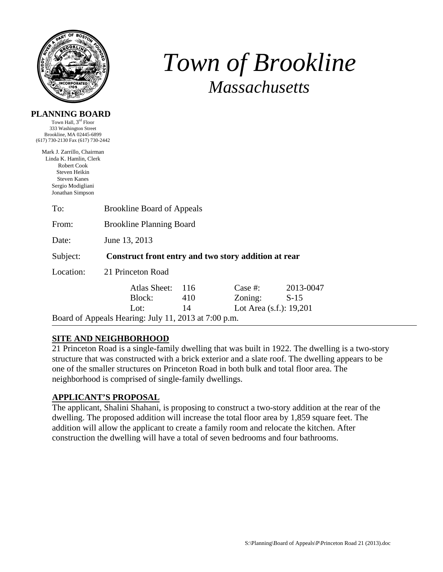

**PLANNING BOARD**  Town Hall, 3rd Floor

# *Town of Brookline Massachusetts*

| 333 Washington Street                                                                                                                                |                                                      |      |                            |           |  |  |
|------------------------------------------------------------------------------------------------------------------------------------------------------|------------------------------------------------------|------|----------------------------|-----------|--|--|
| Brookline, MA 02445-6899<br>(617) 730-2130 Fax (617) 730-2442                                                                                        |                                                      |      |                            |           |  |  |
| Mark J. Zarrillo, Chairman<br>Linda K. Hamlin, Clerk<br>Robert Cook<br>Steven Heikin<br><b>Steven Kanes</b><br>Sergio Modigliani<br>Jonathan Simpson |                                                      |      |                            |           |  |  |
| To:                                                                                                                                                  | <b>Brookline Board of Appeals</b>                    |      |                            |           |  |  |
| From:                                                                                                                                                | <b>Brookline Planning Board</b>                      |      |                            |           |  |  |
| Date:                                                                                                                                                | June 13, 2013                                        |      |                            |           |  |  |
| Subject:                                                                                                                                             | Construct front entry and two story addition at rear |      |                            |           |  |  |
| Location:                                                                                                                                            | 21 Princeton Road                                    |      |                            |           |  |  |
|                                                                                                                                                      | Atlas Sheet:                                         | -116 | Case #:                    | 2013-0047 |  |  |
|                                                                                                                                                      | Block:                                               | 410  | Zoning:                    | $S-15$    |  |  |
|                                                                                                                                                      | Lot:                                                 | 14   | Lot Area $(s.f.)$ : 19,201 |           |  |  |
|                                                                                                                                                      | Board of Appeals Hearing: July 11, 2013 at 7:00 p.m. |      |                            |           |  |  |

## **SITE AND NEIGHBORHOOD**

21 Princeton Road is a single-family dwelling that was built in 1922. The dwelling is a two-story structure that was constructed with a brick exterior and a slate roof. The dwelling appears to be one of the smaller structures on Princeton Road in both bulk and total floor area. The neighborhood is comprised of single-family dwellings.

## **APPLICANT'S PROPOSAL**

The applicant, Shalini Shahani, is proposing to construct a two-story addition at the rear of the dwelling. The proposed addition will increase the total floor area by 1,859 square feet. The addition will allow the applicant to create a family room and relocate the kitchen. After construction the dwelling will have a total of seven bedrooms and four bathrooms.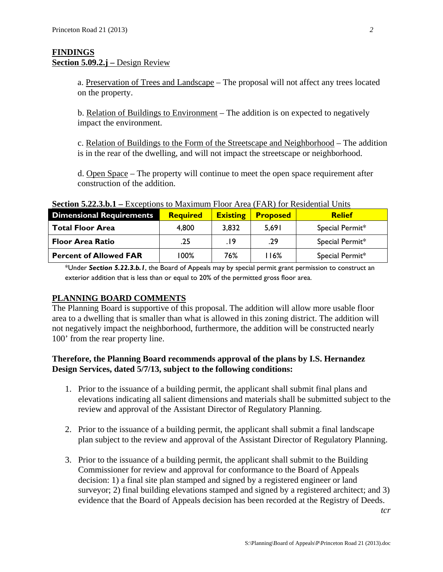### **FINDINGS** Section 5.09.2.j – Design Review

a. Preservation of Trees and Landscape – The proposal will not affect any trees located on the property.

b. Relation of Buildings to Environment – The addition is on expected to negatively impact the environment.

c. Relation of Buildings to the Form of the Streetscape and Neighborhood – The addition is in the rear of the dwelling, and will not impact the streetscape or neighborhood.

d. Open Space – The property will continue to meet the open space requirement after construction of the addition.

| $\mathbf{D}\mathbf{V}\mathbf{C}\mathbf{H}\mathbf{D}\mathbf{D}\mathbf{C}\mathbf{D}\mathbf{D}\mathbf{D}$ |                 |                 |                 |                 |  |  |  |
|--------------------------------------------------------------------------------------------------------|-----------------|-----------------|-----------------|-----------------|--|--|--|
| <b>Dimensional Requirements</b>                                                                        | <b>Required</b> | <b>Existing</b> | <b>Proposed</b> | <b>Relief</b>   |  |  |  |
| <b>Total Floor Area</b>                                                                                | 4,800           | 3,832           | 5,691           | Special Permit* |  |  |  |
| <b>Floor Area Ratio</b>                                                                                | .25             | 19.             | .29             | Special Permit* |  |  |  |
| <b>Percent of Allowed FAR</b>                                                                          | l 00%           | 76%             | l 16%           | Special Permit* |  |  |  |

**Section 5.22.3.b.1 –** Exceptions to Maximum Floor Area (FAR) for Residential Units

\*Under *Section 5.22.3.b.1*, the Board of Appeals may by special permit grant permission to construct an exterior addition that is less than or equal to 20% of the permitted gross floor area.

#### **PLANNING BOARD COMMENTS**

The Planning Board is supportive of this proposal. The addition will allow more usable floor area to a dwelling that is smaller than what is allowed in this zoning district. The addition will not negatively impact the neighborhood, furthermore, the addition will be constructed nearly 100' from the rear property line.

## **Therefore, the Planning Board recommends approval of the plans by I.S. Hernandez Design Services, dated 5/7/13, subject to the following conditions:**

- 1. Prior to the issuance of a building permit, the applicant shall submit final plans and elevations indicating all salient dimensions and materials shall be submitted subject to the review and approval of the Assistant Director of Regulatory Planning.
- 2. Prior to the issuance of a building permit, the applicant shall submit a final landscape plan subject to the review and approval of the Assistant Director of Regulatory Planning.
- 3. Prior to the issuance of a building permit, the applicant shall submit to the Building Commissioner for review and approval for conformance to the Board of Appeals decision: 1) a final site plan stamped and signed by a registered engineer or land surveyor; 2) final building elevations stamped and signed by a registered architect; and 3) evidence that the Board of Appeals decision has been recorded at the Registry of Deeds.

*tcr*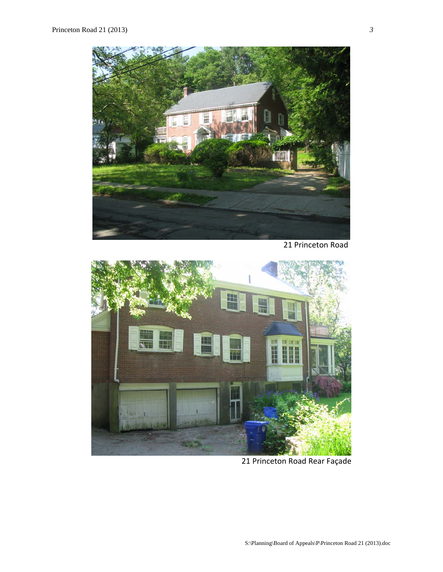

21 Princeton Road



21 Princeton Road Rear Façade